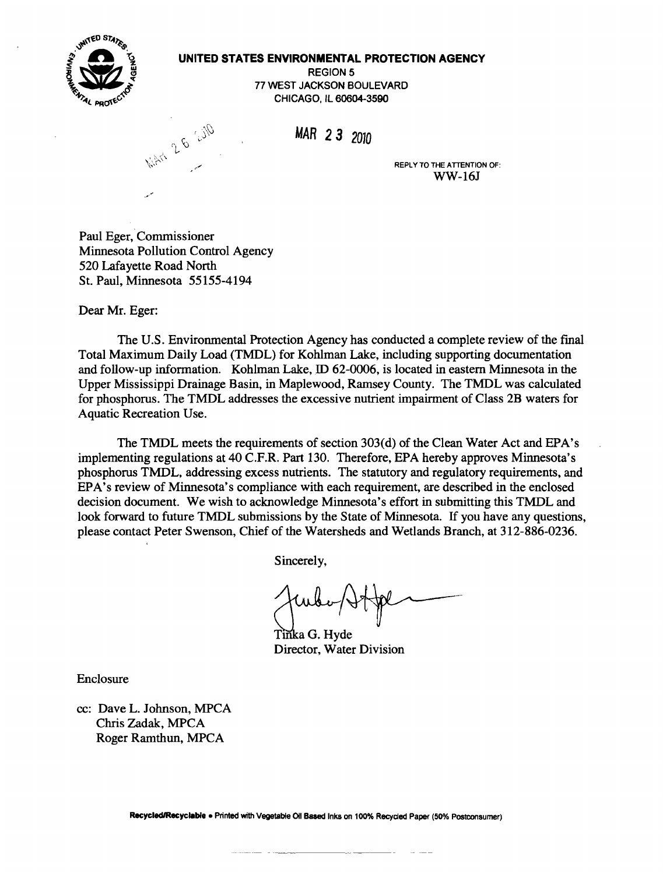

REPLY TO THE ATIENTION OF: WW-16J

Paul Eger, Commissioner Minnesota Pollution Control Agency 520 Lafayette Road North St. Paul, Minnesota 55155-4194

Dear Mr. Eger:

The U.S. Environmental Protection Agency has conducted a complete review of the fmal Total Maximum Daily Load (TMDL) for Kohlman Lake, including supporting documentation and follow-up information. Kohlman Lake, ID 62-0006, is located in eastern Minnesota in the Upper Mississippi Drainage Basin, in Maplewood, Ramsey County. The TMDL was calculated for phosphorus. The TMDL addresses the excessive nutrient impairment of Class 2B waters for Aquatic Recreation Use.

The TMDL meets the requirements of section 303(d) of the Clean Water Act and EPA's implementing regulations at 40 C.F.R. Part 130. Therefore, EPA hereby approves Minnesota's phosphorus TMDL, addressing excess nutrients. The statutory and regulatory requirements, and EPA's review of Minnesota's compliance with each requirement, are described in the enclosed decision document. We wish to acknowledge Minnesota's effort in submitting this TMDL and look forward to future TMDL submissions by the State of Minnesota. If you have any questions, please contact Peter Swenson, Chief of the Watersheds and Wetlands Branch, at 312-886-0236.

Sincerely,

Tinka G. Hyde Director, Water Division

Enclosure

cc: Dave L. Johnson, MPCA Chris Zadak, MPCA Roger Ramthun, MPCA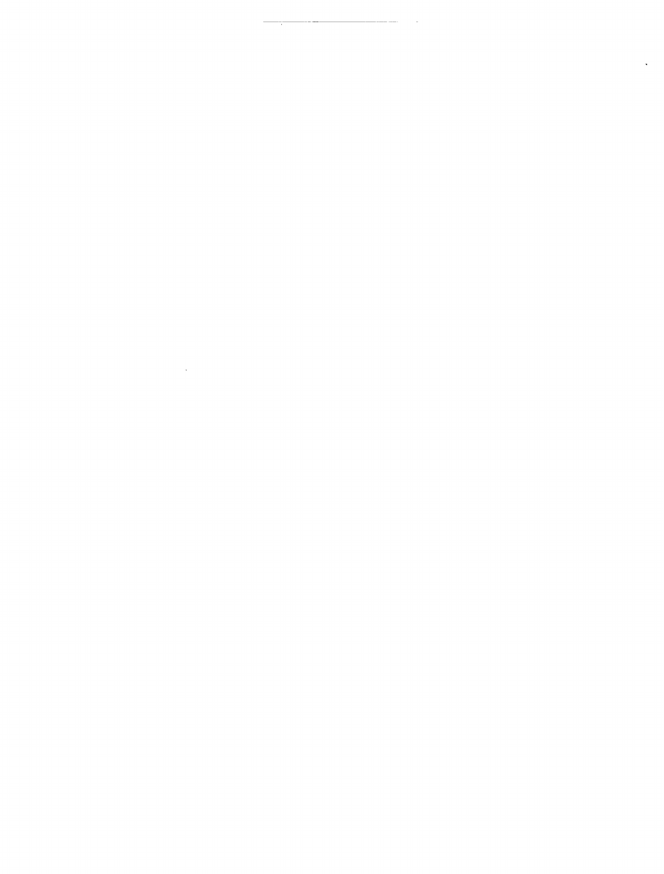$\sim$   $\sim$  $\frac{1}{2} \left( \frac{1}{2} \right) \left( \frac{1}{2} \right) \left( \frac{1}{2} \right) \left( \frac{1}{2} \right) \left( \frac{1}{2} \right) \left( \frac{1}{2} \right) \left( \frac{1}{2} \right) \left( \frac{1}{2} \right) \left( \frac{1}{2} \right) \left( \frac{1}{2} \right) \left( \frac{1}{2} \right) \left( \frac{1}{2} \right) \left( \frac{1}{2} \right) \left( \frac{1}{2} \right) \left( \frac{1}{2} \right) \left( \frac{1}{2} \right) \left( \frac$ 

 $\sigma_{\rm{eff}}$ 

 $\label{eq:2.1} \frac{1}{\sqrt{2}}\int_{\mathbb{R}^3}\frac{1}{\sqrt{2}}\left(\frac{1}{\sqrt{2}}\right)^2\frac{1}{\sqrt{2}}\left(\frac{1}{\sqrt{2}}\right)^2\frac{1}{\sqrt{2}}\left(\frac{1}{\sqrt{2}}\right)^2\frac{1}{\sqrt{2}}\left(\frac{1}{\sqrt{2}}\right)^2.$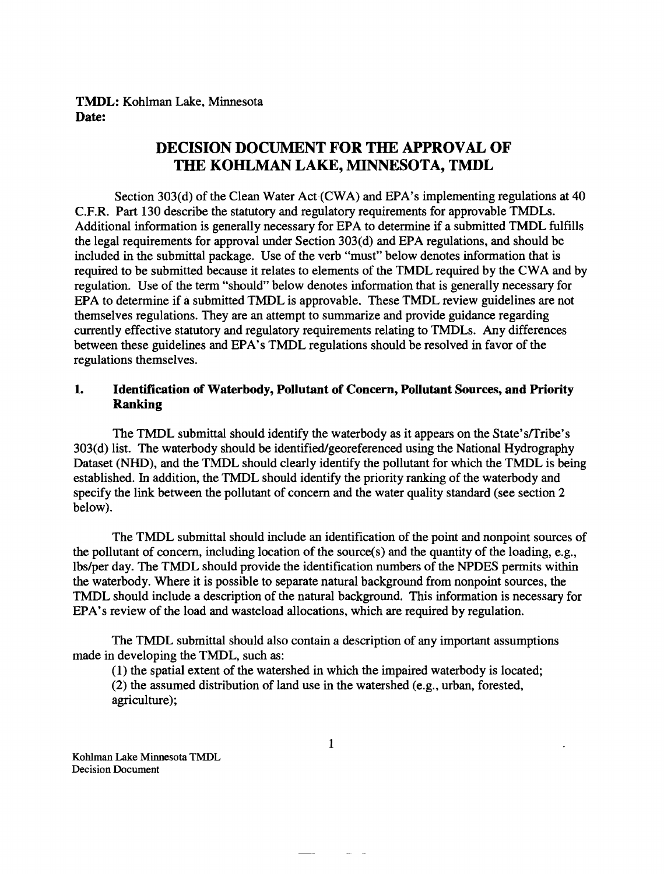TMDL: Kohlman Lake, Minnesota Date:

# DECISION DOCUMENT FOR THE APPROVAL OF THE KOHLMAN LAKE, MINNESOTA, TMDL

Section 303(d) of the Clean Water Act (CWA) and EPA's implementing regulations at 40 c.F.R. Part 130 describe the statutory and regulatory requirements for approvable TMDLs. Additional information is generally necessary for EPA to determine if a submitted TMDL fulfills the legal requirements for approval under Section 303(d) and EPA regulations, and should be included in the submittal package. Use of the verb "must" below denotes information that is required to be submitted because it relates to elements of the TMDL required by the CWA and by regulation. Use of the term "should" below denotes information that is generally necessary for EPA to determine if a submitted TMDL is approvable. These TMDL review guidelines are not themselves regulations. They are an attempt to summarize and provide guidance regarding currently effective statutory and regulatory requirements relating to TMDLs. Any differences between these guidelines and EPA's TMDL regulations should be resolved in favor of the regulations themselves.

## 1. Identification of Waterbody, Pollutant of Concern, Pollutant Sources, and Priority Ranking

The TMDL submittal should identify the waterbody as it appears on the State's/Tribe's 303(d) list. The waterbody should be identified/georeferenced using the National Hydrography Dataset (NHD), and the TMDL should clearly identify the pollutant for which the TMDL is being established. In addition, the TMDL should identify the priority ranking of the waterbody and specify the link between the pollutant of concern and the water quality standard (see section 2 below).

The TMDL submittal should include an identification of the point and nonpoint sources of the pollutant of concern, including location of the source(s) and the quantity of the loading, e.g., lbs/per day. The TMDL should provide the identification numbers of the NPDES permits within the waterbody. Where it is possible to separate natural background from nonpoint sources, the TMDL should include a description of the natural background. This information is necessary for EPA's review of the load and wasteload allocations, which are required by regulation.

The TMDL submittal should also contain a description of any important assumptions made in developing the TMDL, such as:

(1) the spatial extent of the watershed in which the impaired waterbody is located;

(2) the assumed distribution of land use in the watershed (e.g., urban, forested, agriculture);

Kohlman Lake Minnesota TMDL Decision Document

1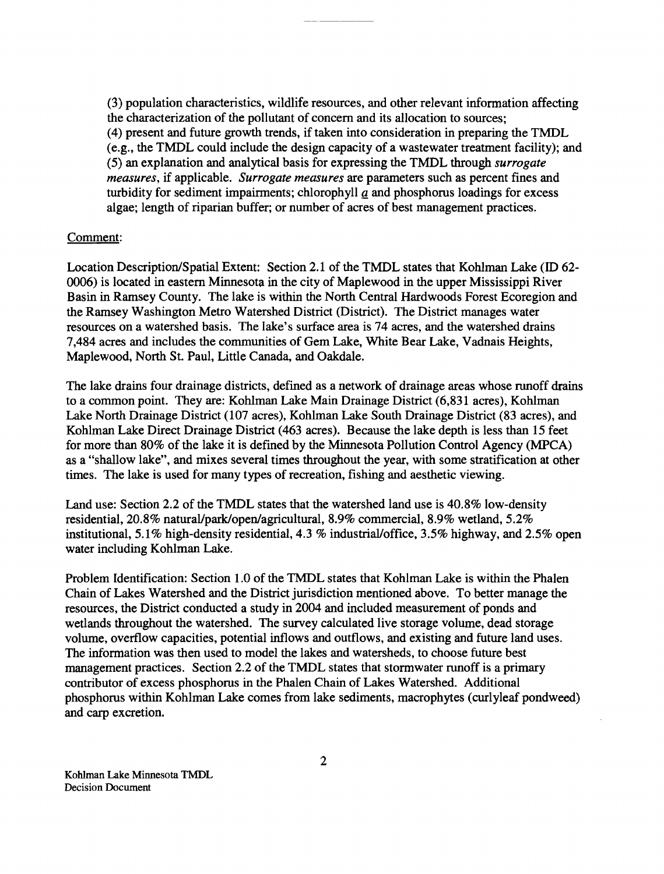(3) population characteristics, wildlife resources, and other relevant information affecting the characterization of the pollutant of concern and its allocation to sources; (4) present and future growth trends, iftaken into consideration in preparing the TMDL (e.g., the TMDL could include the design capacity of a wastewater treatment facility); and (5) an explanation and analytical basis for expressing the TMDL through *surrogate measures,* if applicable. *Surrogate measures* are parameters such as percent fines and turbidity for sediment impairments; chlorophyll  $a$  and phosphorus loadings for excess algae; length of riparian buffer; or number of acres of best management practices.

### Comment:

Location Description/Spatial Extent: Section 2.1 of the TMDL states that Kohlman Lake (ID 62-0006) is located in eastern Minnesota in the city of Maplewood in the upper Mississippi River Basin in Ramsey County. The lake is within the North Central Hardwoods Forest Ecoregion and the Ramsey Washington Metro Watershed District (District). The District manages water resources on a watershed basis. The lake's surface area is 74 acres, and the watershed drains 7,484 acres and includes the communities of Gem Lake, White Bear Lake, Vadnais Heights, Maplewood, North St. Paul, Little Canada, and Oakdale.

The lake drains four drainage districts, defined as a network of drainage areas whose runoff drains to a common point. They are: Kohlman Lake Main Drainage District (6,831 acres), Kohlman Lake North Drainage District (107 acres), Kohlman Lake South Drainage District (83 acres), and Kohlman Lake Direct Drainage District (463 acres). Because the lake depth is less than 15 feet for more than 80% of the lake it is defined by the Minnesota Pollution Control Agency (MPCA) as a "shallow lake", and mixes several times throughout the year, with some stratification at other times. The lake is used for many types of recreation, fishing and aesthetic viewing.

Land use: Section 2.2 of the TMDL states that the watershed land use is 40.8% low-density residential, 20.8% natural/park/open/agricultural, 8.9% commercial, 8.9% wetland, 5.2% institutional, 5.1% high-density residential, 4.3 % industriaVoffice, 3.5% highway, and 2.5% open water including Kohlman Lake.

Problem Identification: Section 1.0 of the TMDL states that Kohlman Lake is within the Phalen Chain of Lakes Watershed and the District jurisdiction mentioned above. To better manage the resources, the District conducted a study in 2004 and included measurement of ponds and wetlands throughout the watershed. The survey calculated live storage volume, dead storage volume, overflow capacities, potential inflows and outflows, and existing and future land uses. The information was then used to model the lakes and watersheds, to choose future best management practices. Section 2.2 of the TMDL states that stormwater runoff is a primary contributor of excess phosphorus in the Phalen Chain of Lakes Watershed. Additional phosphorus within Kohlman Lake comes from lake sediments, macrophytes (curlyleaf pondweed) and carp excretion.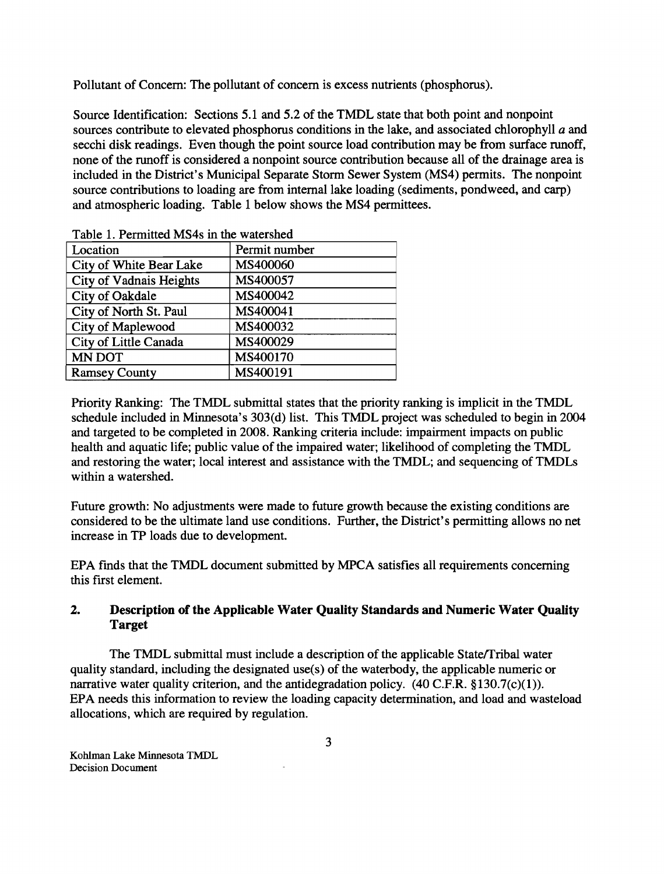Pollutant of Concern: The pollutant of concern is excess nutrients (phosphorus).

Source Identification: Sections 5.1 and 5.2 of the TMDL state that both point and nonpoint sources contribute to elevated phosphorus conditions in the lake, and associated chlorophyll *a* and secchi disk readings. Even though the point source load contribution may be from surface runoff, none of the runoff is considered a nonpoint source contribution because all of the drainage area is included in the District's Municipal Separate Storm Sewer System (MS4) permits. The nonpoint source contributions to loading are from internal lake loading (sediments, pondweed, and carp) and atmospheric loading. Table 1 below shows the MS4 permittees.

| $\alpha$                       |               |  |  |  |
|--------------------------------|---------------|--|--|--|
| Location                       | Permit number |  |  |  |
| City of White Bear Lake        | MS400060      |  |  |  |
| <b>City of Vadnais Heights</b> | MS400057      |  |  |  |
| City of Oakdale                | MS400042      |  |  |  |
| City of North St. Paul         | MS400041      |  |  |  |
| City of Maplewood              | MS400032      |  |  |  |
| City of Little Canada          | MS400029      |  |  |  |
| <b>MN DOT</b>                  | MS400170      |  |  |  |
| <b>Ramsey County</b>           | MS400191      |  |  |  |

Table 1. Permitted MS4s in the watershed

Priority Ranking: The TMDL submittal states that the priority ranking is implicit in the TMDL schedule included in Minnesota's 303(d) list. This TMDL project was scheduled to begin in 2004 and targeted to be completed in 2008. Ranking criteria include: impairment impacts on public health and aquatic life; public value of the impaired water; likelihood of completing the TMDL and restoring the water; local interest and assistance with the TMDL; and sequencing of TMDLs within a watershed.

Future growth: No adjustments were made to future growth because the existing conditions are considered to be the ultimate land use conditions. Further, the District's permitting allows no net increase in TP loads due to development.

EPA finds that the TMDL document submitted by MPCA satisfies all requirements concerning this first element.

# 2. Description of the Applicable Water Quality Standards and Numeric Water Quality Target

The TMDL submittal must include a description of the applicable State/Tribal water quality standard, including the designated use(s) of the waterbody, the applicable numeric or narrative water quality criterion, and the antidegradation policy.  $(40 \text{ C.F.R. } §130.7(c)(1))$ . EPA needs this information to review the loading capacity determination, and load and wasteload allocations, which are required by regulation.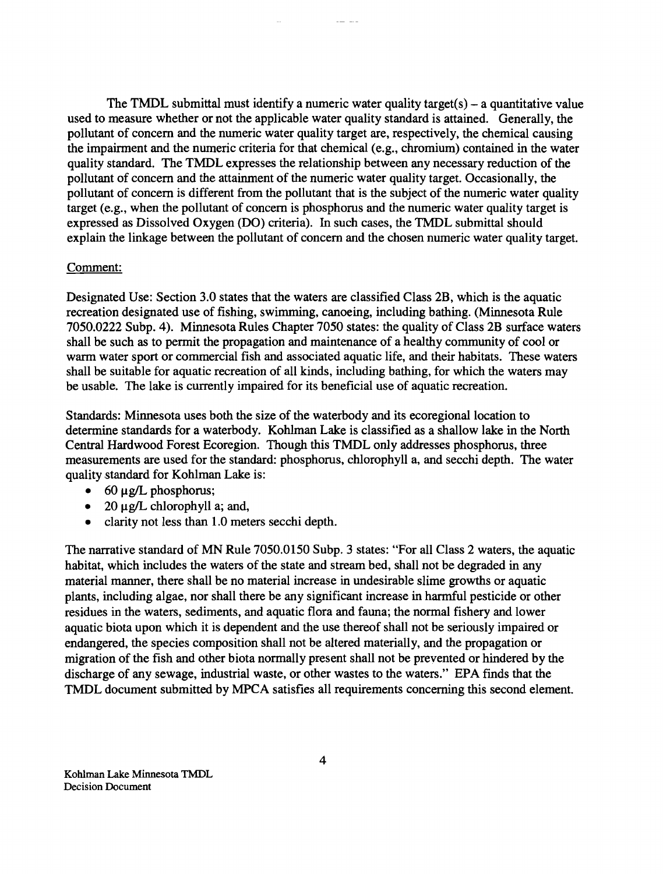The TMDL submittal must identify a numeric water quality target(s) – a quantitative value used to measure whether or not the applicable water quality standard is attained. Generally, the pollutant of concern and the numeric water quality target are, respectively, the chemical causing the impairment and the numeric criteria for that chemical (e.g., chromium) contained in the water quality standard. The TMDL expresses the relationship between any necessary reduction of the pollutant of concern and the attainment of the numeric water quality target. Occasionally, the pollutant of concern is different from the pollutant that is the subject of the numeric water quality target (e.g., when the pollutant of concern is phosphorus and the numeric water quality target is expressed as Dissolved Oxygen (DO) criteria). In such cases, the TMDL submittal should explain the linkage between the pollutant of concern and the chosen numeric water quality target.

### Comment:

Designated Use: Section 3.0 states that the waters are classified Class 2B, which is the aquatic recreation designated use of fishing, swimming, canoeing, including bathing. (Minnesota Rule 7050.0222 Subp. 4). Minnesota Rules Chapter 7050 states: the quality of Class 2B surface waters shall be such as to permit the propagation and maintenance of a healthy community of cool or warm water sport or commercial fish and associated aquatic life, and their habitats. These waters shall be suitable for aquatic recreation of all kinds, including bathing, for which the waters may be usable. The lake is currently impaired for its beneficial use of aquatic recreation.

Standards: Minnesota uses both the size of the waterbody and its ecoregional location to determine standards for a waterbody. Kohlman Lake is classified as a shallow lake in the North Central Hardwood Forest Ecoregion. Though this TMDL only addresses phosphorus, three measurements are used for the standard: phosphorus, chlorophyll a, and secchi depth. The water quality standard for Kohlman Lake is:

- 60  $\mu$ g/L phosphorus;
- 20  $\mu$ g/L chlorophyll a; and,
- clarity not less than 1.0 meters secchi depth.

The narrative standard of MN Rule 7050.0150 Subp. 3 states: "For all Class 2 waters, the aquatic habitat, which includes the waters of the state and stream bed, shall not be degraded in any material manner, there shall be no material increase in undesirable slime growths or aquatic plants, including algae, nor shall there be any significant increase in harmful pesticide or other residues in the waters, sediments, and aquatic flora and fauna; the normal fishery and lower aquatic biota upon which it is dependent and the use thereof shall not be seriously impaired or endangered, the species composition shall not be altered materially, and the propagation or migration of the fish and other biota normally present shall not be prevented or hindered by the discharge of any sewage, industrial waste, or other wastes to the waters." EPA finds that the TMDL document submitted by MPCA satisfies all requirements concerning this second element.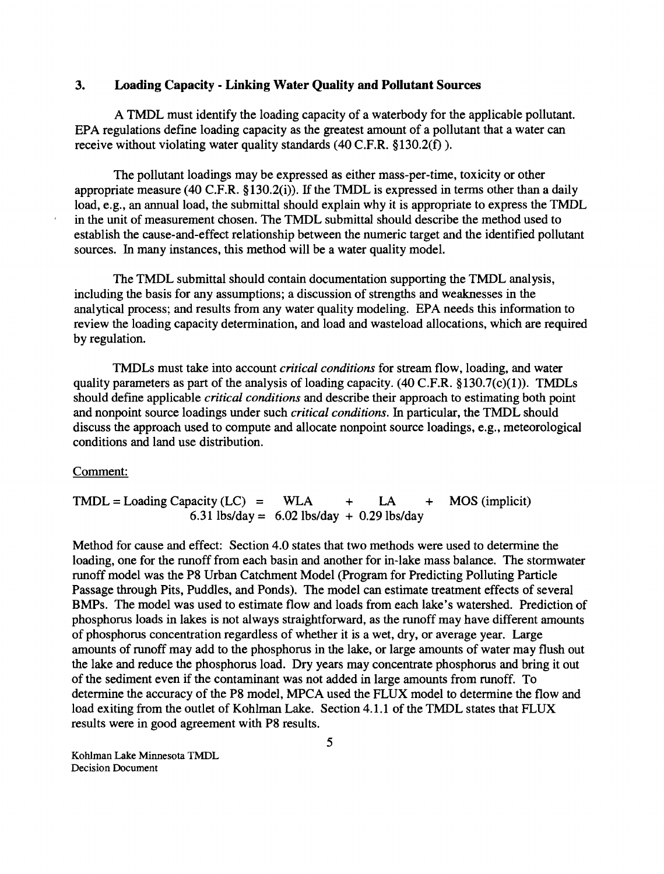### 3. Loading Capacity - Linking Water Quality and Pollutant Sources

A TMDL must identify the loading capacity of a waterbody for the applicable pollutant. EPA regulations defme loading capacity as the greatest amount of a pollutant that a water can receive without violating water quality standards (40 C.F.R. §130.2(f)).

The pollutant loadings may be expressed as either mass-per-time, toxicity or other appropriate measure (40 C.F.R.  $\S$ 130.2(i)). If the TMDL is expressed in terms other than a daily load, e.g., an annual load, the submittal should explain why it is appropriate to express the TMDL in the unit of measurement chosen. The TMDL submittal should describe the method used to establish the cause-and-effect relationship between the numeric target and the identified pollutant sources. In many instances, this method will be a water quality model.

The TMDL submittal should contain documentation supporting the TMDL analysis, including the basis for any assumptions; a discussion of strengths and weaknesses in the analytical process; and results from any water quality modeling. EPA needs this information to review the loading capacity determination, and load and wasteload allocations, which are required by regulation.

TMDLs must take into account *critical conditions* for stream flow, loading, and water quality parameters as part of the analysis of loading capacity.  $(40 \text{ C.F.R. } §130.7(c)(1))$ . TMDLs should define applicable *critical conditions* and describe their approach to estimating both point and nonpoint source loadings under such *critical conditions.* In particular, the TMDL should discuss the approach used to compute and allocate nonpoint source loadings, e.g., meteorological conditions and land use distribution.

Comment:

 $TMDL =$  Loading Capacity (LC) = WLA + LA + MOS (implicit) 6.31 lbs/day = 6.02 lbs/day + 0.29 lbs/day

Method for cause and effect: Section 4.0 states that two methods were used to determine the loading, one for the runoff from each basin and another for in-lake mass balance. The stormwater runoff model was the P8 Urban Catchment Model (Program for Predicting Polluting Particle Passage through Pits, Puddles, and Ponds). The model can estimate treatment effects of several BMPs. The model was used to estimate flow and loads from each lake's watershed. Prediction of phosphorus loads in lakes is not always straightforward, as the runoff may have different amounts of phosphorus concentration regardless of whether it is a wet, dry, or average year. Large amounts of runoff may add to the phosphorus in the lake, or large amounts of water may flush out the lake and reduce the phosphorus load. Dry years may concentrate phosphorus and bring it out of the sediment even if the contaminant was not added in large amounts from runoff. To determine the accuracy of the P8 model, MPCA used the FLUX model to determine the flow and load exiting from the outlet of Kohlman Lake. Section 4.1.1 of the TMDL states that FLUX results were in good agreement with P8 results.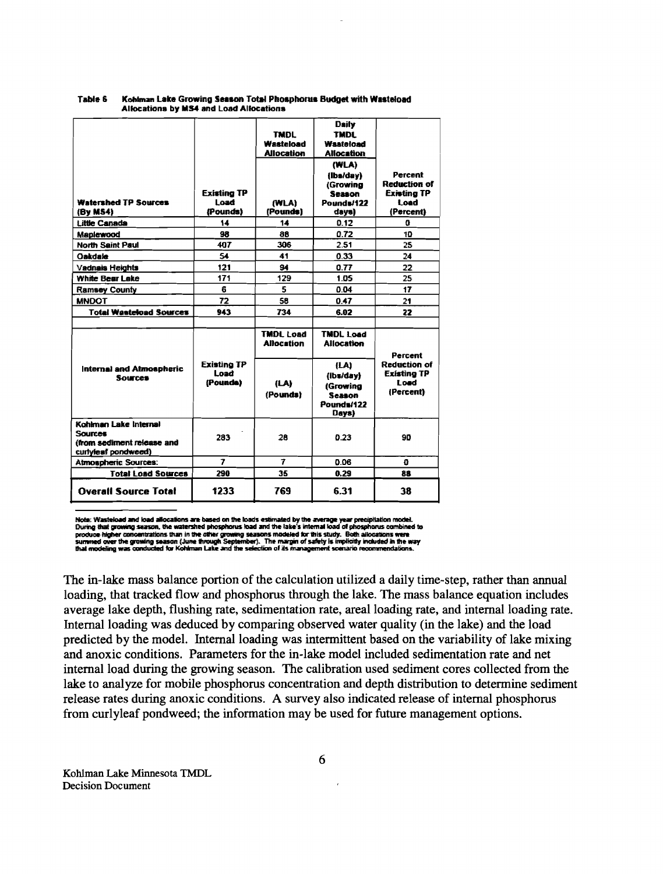| <b>Watershed TP Sources</b><br>(By MS4)                                                      | <b>Existing TP</b><br>Load<br>(Pounds) | <b>TMDL</b><br>Wastelnad<br><b>Allocation</b><br>(WLA)<br>(Pounds) | Daily<br><b>TMDL</b><br><b>Waateload</b><br><b>Allocation</b><br>(WLA)<br>(Iba/day)<br>(Growing<br>Season<br>Pounds/122<br>days)    | Percent<br><b>Reduction of</b><br>Existina TP<br>Load<br>(Percent)        |
|----------------------------------------------------------------------------------------------|----------------------------------------|--------------------------------------------------------------------|-------------------------------------------------------------------------------------------------------------------------------------|---------------------------------------------------------------------------|
| <b>Little Canada</b>                                                                         | 14                                     | 14                                                                 | 0.12                                                                                                                                | a                                                                         |
| Maplewood                                                                                    | 98                                     | 88                                                                 | 0.72                                                                                                                                | 10                                                                        |
| <b>North Saint Paul</b>                                                                      | 407                                    | 306                                                                | 2.51                                                                                                                                | 25                                                                        |
| Oakdale                                                                                      | 54                                     | 41                                                                 | 0.33                                                                                                                                | 24                                                                        |
| <b>Vadnais Heights</b>                                                                       | 121                                    | 94                                                                 | 0.77                                                                                                                                | 22                                                                        |
| <b>White Bear Lake</b>                                                                       | 171                                    | 129                                                                | 1.05                                                                                                                                | 25                                                                        |
| <b>Ramsey County</b>                                                                         | 6                                      | 5                                                                  | 0.04                                                                                                                                | 17                                                                        |
| <b>MNDOT</b>                                                                                 | 72                                     | 58                                                                 | 0.47                                                                                                                                | 21                                                                        |
| <b>Total Wasteload Sources</b>                                                               | 943                                    | 734                                                                | 6.02                                                                                                                                | 22                                                                        |
| Internal and Atmospheric<br><b>Sources</b>                                                   | <b>Existing TP</b><br>Load<br>(Pounde) | <b>TMDL Load</b><br><b>Allocation</b><br>[LA]<br>(Pounds)          | <b>TMDL Load</b><br><b>Allocation</b><br><b>ILAI</b><br>(Ibs/day)<br><i><b>(Growing</b></i><br><b>Season</b><br>Pounds/122<br>Days) | Percent<br><b>Reduction of</b><br><b>Existing TP</b><br>Load<br>(Percent) |
| Kohlman Lake Internal<br><b>Sources</b><br>(from sediment release and<br>curivieaf pondweed) | 283                                    | 28                                                                 | 0.23                                                                                                                                | 90                                                                        |
| Atmospheric Sources:                                                                         | $\overline{ }$                         | $\overline{I}$                                                     | 0.06                                                                                                                                | O                                                                         |
| <b>Total Load Sources</b>                                                                    | 290                                    | 35                                                                 | 0.29                                                                                                                                | 88                                                                        |
| <b>Overall Source Total</b>                                                                  | 1233                                   | 769                                                                | 6.31                                                                                                                                | 38                                                                        |

Table 6 Kohiman Lake Growing Season Total Phosphorus Budget with Wasteload Allocations by **M54** and load Allocations

Note: Wasteload and load allocations are based on the loads estimated by the average year precipitation model.<br>During that growing season, the watershed phosphorus load and the lake's internal load of phosphorus combined t

The in-lake mass balance portion of the calculation utilized a daily time-step, rather than annual loading, that tracked flow and phosphorus through the lake. The mass balance equation includes average lake depth, flushing rate, sedimentation rate, areal loading rate, and internal loading rate. Internal loading was deduced by comparing observed water quality (in the lake) and the load predicted by the model. Internal loading was intermittent based on the variability of lake mixing and anoxic conditions. Parameters for the in-lake model included sedimentation rate and net internal load during the growing season. The calibration used sediment cores collected from the lake to analyze for mobile phosphorus concentration and depth distribution to determine sediment release rates during anoxic conditions. A survey also indicated release of internal phosphorus from curlyleaf pondweed; the information may be used for future management options.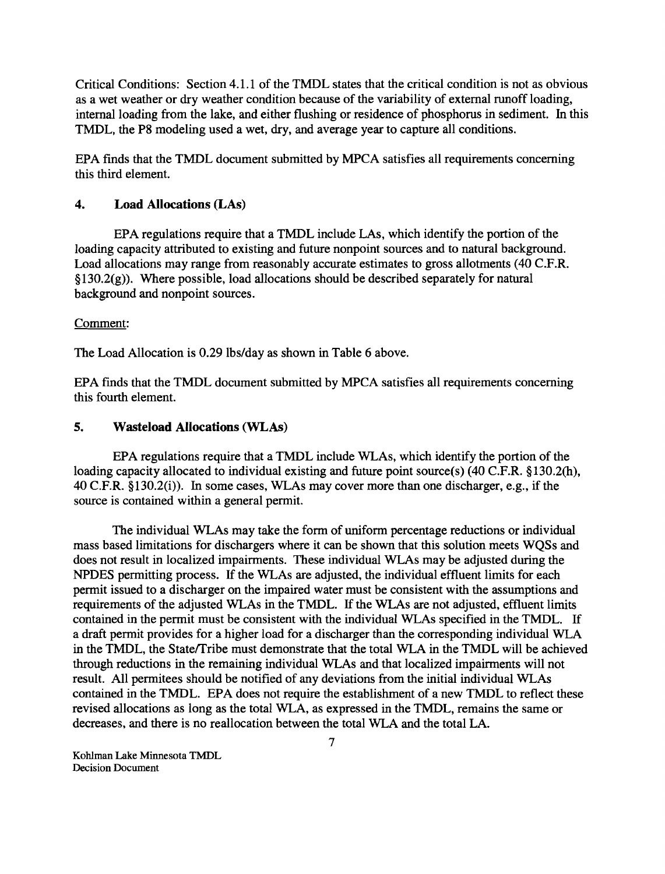Critical Conditions: Section 4.1.1 of the TMDL states that the critical condition is not as obvious as a wet weather or dry weather condition because of the variability of external runoff loading, internal loading from the lake, and either flushing or residence of phosphorus in sediment. In this TMDL, the P8 modeling used a wet, dry, and average year to capture all conditions.

EPA finds that the TMDL document submitted by MPCA satisfies all requirements concerning this third element.

### 4. Load Allocations (LAs)

EPA regulations require that a TMDL include LAs, which identify the portion of the loading capacity attributed to existing and future nonpoint sources and to natural background. Load allocations may range from reasonably accurate estimates to gross allotments (40 C.F.R.  $§130.2(g)$ . Where possible, load allocations should be described separately for natural background and nonpoint sources.

### Comment:

The Load Allocation is 0.29 lbs/day as shown in Table 6 above.

EPA fmds that the TMDL document submitted by MPCA satisfies all requirements concerning this fourth element.

### 5. Wasteload Allocations (WLAs)

EPA regulations require that a TMDL include WLAs, which identify the portion of the loading capacity allocated to individual existing and future point source(s) (40 C.F.R. §130.2(h), 40 C.F.R. §130.2(i)). In some cases, WLAs may cover more than one discharger, e.g., if the source is contained within a general permit.

The individual WLAs may take the form of uniform percentage reductions or individual mass based limitations for dischargers where it can be shown that this solution meets WQSs and does not result in localized impairments. These individual WLAs may be adjusted during the NPDES permitting process. If the WLAs are adjusted, the individual effluent limits for each permit issued to a discharger on the impaired water must be consistent with the assumptions and requirements of the adjusted WLAs in the TMDL. If the WLAs are not adjusted, effluent limits contained in the permit must be consistent with the individual WLAs specified in the TMDL. If a draft permit provides for a higher load for a discharger than the corresponding individual WLA in the TMDL, the State/Tribe must demonstrate that the total WLA in the TMDL will be achieved through reductions in the remaining individual WLAs and that localized impairments will not result. All permitees should be notified of any deviations from the initial individual WLAs contained in the TMDL. EPA does not require the establishment of a new TMDL to reflect these revised allocations as long as the total WLA, as expressed in the TMDL, remains the same or decreases, and there is no reallocation between the total WLA and the total LA.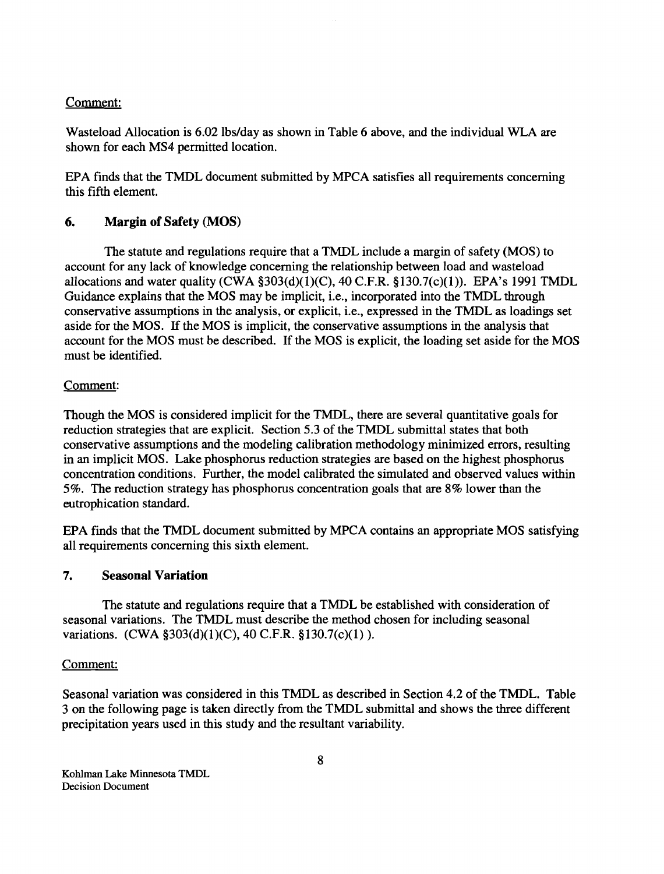# Comment:

Wasteload Allocation is 6.02 lbs/day as shown in Table 6 above, and the individual WLA are shown for each MS4 permitted location.

EPA finds that the TMDL document submitted by MPCA satisfies all requirements concerning this fifth element.

# 6. Margin of Safety (MOS)

The statute and regulations require that a TMDL include a margin of safety (MOS) to account for any lack of knowledge concerning the relationship between load and wasteload allocations and water quality (CWA  $\S 303(d)(1)(C)$ , 40 C.F.R.  $\S 130.7(c)(1)$ ). EPA's 1991 TMDL Guidance explains that the MOS may be implicit, i.e., incorporated into the TMDL through conservative assumptions in the analysis, or explicit, i.e., expressed in the TMDL as loadings set aside for the MOS. If the MOS is implicit, the conservative assumptions in the analysis that account for the MOS must be described. If the MOS is explicit, the loading set aside for the MOS must be identified.

## Comment:

Though the MOS is considered implicit for the TMDL, there are several quantitative goals for reduction strategies that are explicit. Section 5.3 of the TMDL submittal states that both conservative assumptions and the modeling calibration methodology minimized errors, resulting in an implicit MOS. Lake phosphorus reduction strategies are based on the highest phosphorus concentration conditions. Further, the model calibrated the simulated and observed values within 5%. The reduction strategy has phosphorus concentration goals that are 8% lower than the eutrophication standard.

EPA finds that the TMDL document submitted by MPCA contains an appropriate MOS satisfying all requirements concerning this sixth element.

## 7. Seasonal Variation

The statute and regulations require that a TMDL be established with consideration of seasonal variations. The TMDL must describe the method chosen for including seasonal variations. (CWA §303(d)(1)(C), 40 C.F.R. §130.7(c)(1) ).

## Comment:

Seasonal variation was considered in this TMDL as described in Section 4.2 of the TMDL. Table 3 on the following page is taken directly from the TMDL submittal and shows the three different precipitation years used in this study and the resultant variability.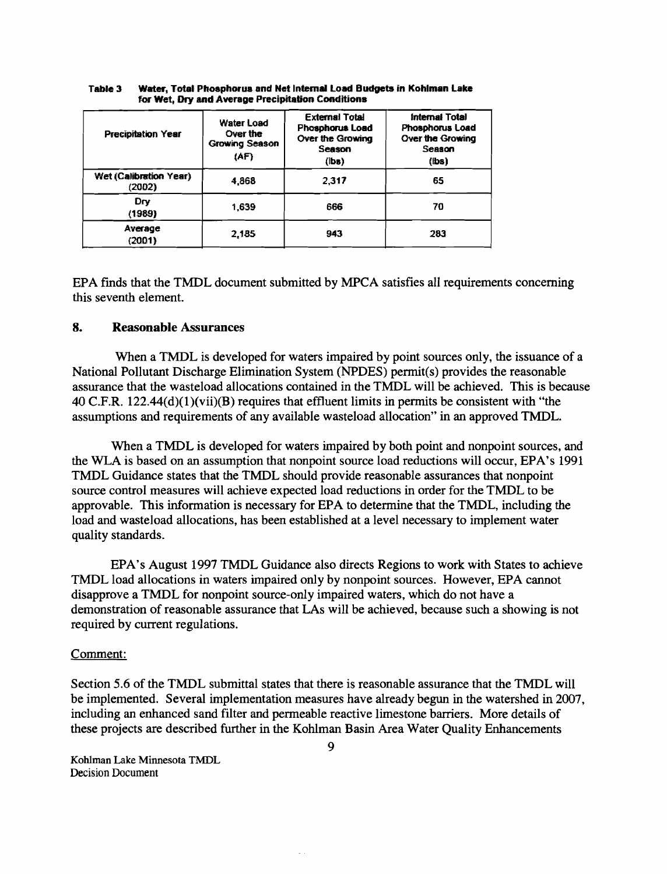| <b>Precipitation Year</b>        | Water Load<br>Over the<br><b>Growing Season</b><br>(AF) | <b>External Total</b><br>Phosphorus Load<br><b>Over the Growing</b><br><b>Season</b><br>$(\mathbf{b}$ s) | <b>Internal Total</b><br>Phosphorus Load<br><b>Over the Growing</b><br><b>Season</b><br>(bs) |
|----------------------------------|---------------------------------------------------------|----------------------------------------------------------------------------------------------------------|----------------------------------------------------------------------------------------------|
| Wet (Calibration Year)<br>(2002) | 4,868                                                   | 2.317                                                                                                    | 65                                                                                           |
| Dry<br>(1989)                    | 1.639                                                   | 666                                                                                                      | 70                                                                                           |
| Average<br>(2001)                | 2,185                                                   | 943                                                                                                      | 283                                                                                          |

#### Table 3 Water, Totel Phosphorus. and Net Internal Load Budgets in Kohlman Lake for Wet, Dry and Average Precipitation Conditions

EPA fmds that the TMDL document submitted by MPCA satisfies all requirements concerning this seventh element.

### 8. Reasonable Assurances

When a TMDL is developed for waters impaired by point sources only, the issuance of a National Pollutant Discharge Elimination System (NPDES) permit(s) provides the reasonable assurance that the wasteload allocations contained in the TMDL will be achieved. This is because 40 C.F.R. 122.44(d)(l)(vii)(B) requires that effluent limits in permits be consistent with "the assumptions and requirements of any available wasteload allocation" in an approved TMDL.

When a TMDL is developed for waters impaired by both point and nonpoint sources, and the WLA is based on an assumption that nonpoint source load reductions will occur, EPA's 1991 TMDL Guidance states that the TMDL should provide reasonable assurances that nonpoint source control measures will achieve expected load reductions in order for the TMDL to be approvable. This information is necessary for EPA to determine that the TMDL, including the load and wasteload allocations, has been established at a level necessary to implement water quality standards.

EPA's August 1997 TMDL Guidance also directs Regions to work with States to achieve TMDL load allocations in waters impaired only by nonpoint sources. However, EPA cannot disapprove a TMDL for nonpoint source-only impaired waters, which do not have a demonstration of reasonable assurance that LAs will be achieved, because such a showing is not required by current regulations.

### Comment:

Section 5.6 of the TMDL submittal states that there is reasonable assurance that the TMDL will be implemented. Several implementation measures have already begun in the watershed in 2007, including an enhanced sand filter and permeable reactive limestone barriers. More details of these projects are described further in the Kohlman Basin Area Water Quality Enhancements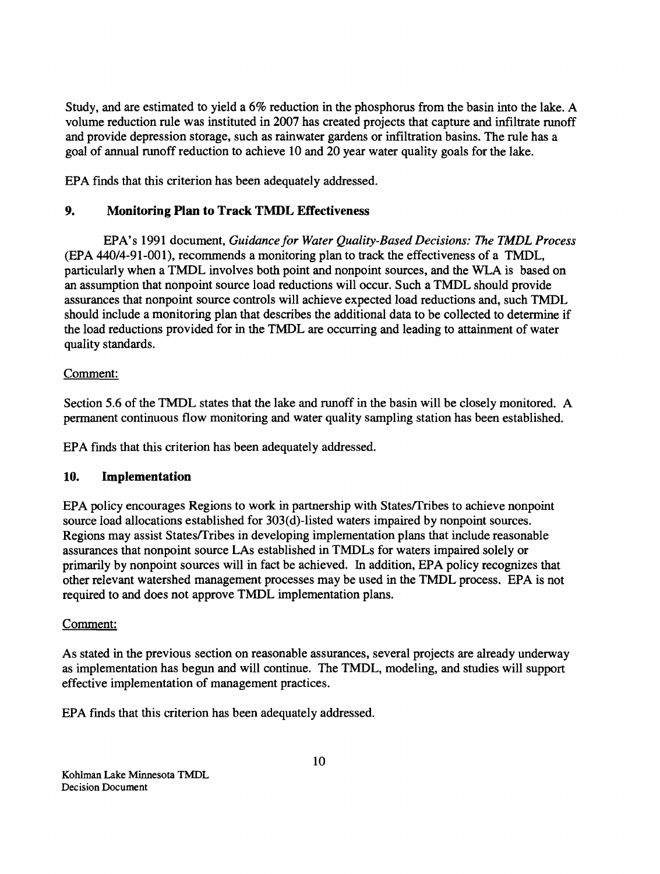Study, and are estimated to yield a 6% reduction in the phosphorus from the basin into the lake. A volume reduction rule was instituted in 2007 has created projects that capture and infiltrate runoff and provide depression storage, such as rainwater gardens or infiltration basins. The rule has a goal of annual runoff reduction to achieve 10 and 20 year water quality goals for the lake.

EPA finds that this criterion has been adequately addressed.

# 9. Monitoring Plan to Track TMDL Effectiveness

EPA's 1991 document, *Guidance for Water Quality-Based Decisions: The TMDL Process* (EPA 440/4-91-001), recommends a monitoring plan to track the effectiveness of a TMDL, particularly when a TMDL involves both point and nonpoint sources, and the WLA is based on an assumption that nonpoint source load reductions will occur. Such a TMDL should provide assurances that nonpoint source controls will achieve expected load reductions and, such TMDL should include a monitoring plan that describes the additional data to be collected to determine if the load reductions provided for in the TMDL are occurring and leading to attainment of water quality standards.

# Comment:

Section 5.6 of the TMDL states that the lake and runoff in the basin will be closely monitored. A permanent continuous flow monitoring and water quality sampling station has been established.

EPA finds that this criterion has been adequately addressed.

# 10. Implementation

EPA policy encourages Regions to work in partnership with States/Tribes to achieve nonpoint source load allocations established for 303(d)-listed waters impaired by nonpoint sources. Regions may assist States/Tribes in developing implementation plans that include reasonable assurances that nonpoint source LAs established in TMDLs for waters impaired solely or primarily by nonpoint sources will in fact be achieved. In addition, EPA policy recognizes that other relevant watershed management processes may be used in the TMDL process. EPA is not required to and does not approve TMDL implementation plans.

## Comment:

As stated in the previous section on reasonable assurances, several projects are already underway as implementation has begun and will continue. The TMDL, modeling, and studies will support effective implementation of management practices.

EPA finds that this criterion has been adequately addressed.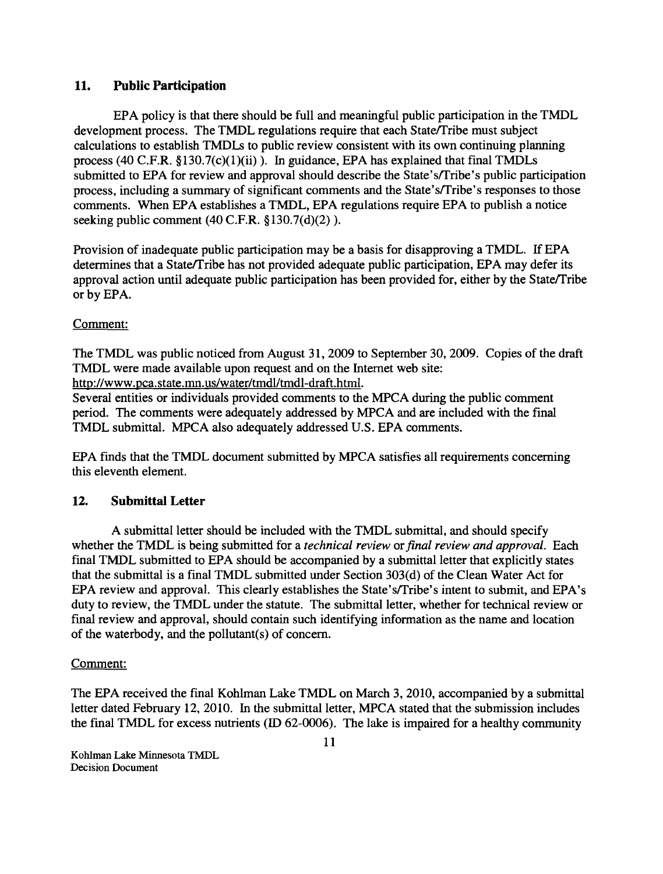# 11. Public Participation

EPA policy is that there should be full and meaningful public participation in the TMDL development process. The TMDL regulations require that each State/Tribe must subject calculations to establish TMDLs to public review consistent with its own continuing planning process (40 C.F.R.  $$130.7(c)(1)(ii)$ ). In guidance, EPA has explained that final TMDLs submitted to EPA for review and approval should describe the State's/Tribe's public participation process, including a summary of significant comments and the State's/Tribe's responses to those comments. When EPA establishes a TMDL, EPA regulations require EPA to publish a notice seeking public comment  $(40 \text{ C.F.R. } §130.7(d)(2))$ .

Provision of inadequate public participation may be a basis for disapproving a TMDL. If EPA determines that a State/Tribe has not provided adequate public participation, EPA may defer its approval action until adequate public participation has been provided for, either by the State/Tribe or by EPA.

# Comment:

The TMDL was public noticed from August 31, 2009 to September 30,2009. Copies of the draft TMDL were made available upon request and on the Internet web site: http://www.pca.state.mn.us/water/tmdl/tmdl-draft.html.

Several entities or individuals provided comments to the MPCA during the public comment period. The comments were adequately addressed by MPCA and are included with the final TMDL submittal. MPCA also adequately addressed U.S. EPA comments.

EPA finds that the TMDL document submitted by MPCA satisfies all requirements concerning this eleventh element.

## 12. Submittal Letter

A submittal letter should be included with the TMDL submittal, and should specify whether the TMDL is being submitted for a *technical review* or *final review and approval.* Each final TMDL submitted to EPA should be accompanied by a submittal letter that explicitly states that the submittal is a final TMDL submitted under Section 303(d) of the Clean Water Act for EPA review and approval. This clearly establishes the State's/Tribe's intent to submit, and EPA's duty to review, the TMDL under the statute. The submittal letter, whether for technical review or final review and approval, should contain such identifying information as the name and location of the waterbody, and the pollutant(s) of concern.

## Comment:

The EPA received the fmal Kohlman Lake TMDL on March 3,2010, accompanied by a submittal letter dated February 12, 2010. In the submittal letter, MPCA stated that the submission includes the final TMDL for excess nutrients (ID  $62-0006$ ). The lake is impaired for a healthy community